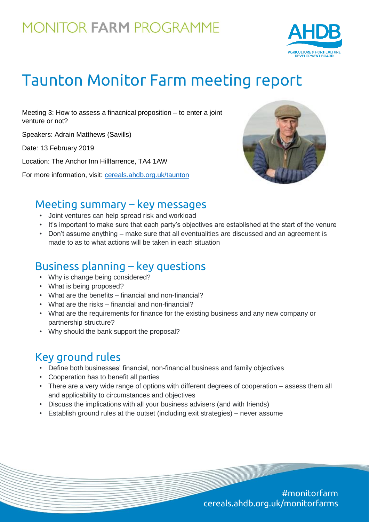## **MONITOR FARM PROGRAMME**



# Taunton Monitor Farm meeting report

Meeting 3: How to assess a finacnical proposition – to enter a joint venture or not?

Speakers: Adrain Matthews (Savills)

Date: 13 February 2019

Location: The Anchor Inn Hillfarrence, TA4 1AW

For more information, visit: [cereals.ahdb.org.uk/t](https://cereals.ahdb.org.uk/get-involved/monitorfarms/saltburn-monitor-farm.aspx)aunton



### Meeting summary – key messages

- Joint ventures can help spread risk and workload
- It's important to make sure that each party's objectives are established at the start of the venure
- Don't assume anything make sure that all eventualities are discussed and an agreement is made to as to what actions will be taken in each situation

## Business planning – key questions

- Why is change being considered?
- What is being proposed?
- What are the benefits financial and non-financial?
- What are the risks financial and non-financial?
- What are the requirements for finance for the existing business and any new company or partnership structure?
- Why should the bank support the proposal?

## Key ground rules

- Define both businesses' financial, non-financial business and family objectives
- Cooperation has to benefit all parties
- There are a very wide range of options with different degrees of cooperation assess them all and applicability to circumstances and objectives
- Discuss the implications with all your business advisers (and with friends)
- Establish ground rules at the outset (including exit strategies) never assume

#monitorfarm cereals.ahdb.org.uk/monitorfarms